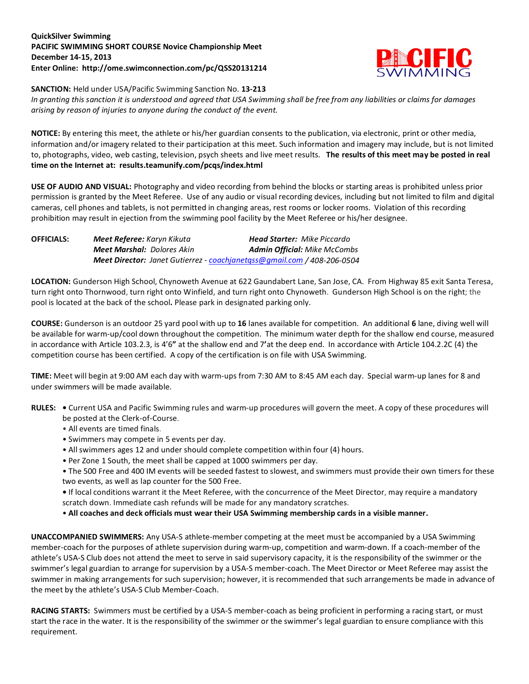## **QuickSilver Swimming PACIFIC SWIMMING SHORT COURSE Novice Championship Meet December 14-15, 2013 Enter Online: http://ome.swimconnection.com/pc/QSS20131214**



**SANCTION:** Held under USA/Pacific Swimming Sanction No. **13-213**

*In granting this sanction it is understood and agreed that USA Swimming shall be free from any liabilities or claims for damages arising by reason of injuries to anyone during the conduct of the event.*

**NOTICE:** By entering this meet, the athlete or his/her guardian consents to the publication, via electronic, print or other media, information and/or imagery related to their participation at this meet. Such information and imagery may include, but is not limited to, photographs, video, web casting, television, psych sheets and live meet results. **The results of this meet may be posted in real time on the Internet at: results.teamunify.com/pcqs/index.html**

**USE OF AUDIO AND VISUAL:** Photography and video recording from behind the blocks or starting areas is prohibited unless prior permission is granted by the Meet Referee. Use of any audio or visual recording devices, including but not limited to film and digital cameras, cell phones and tablets, is not permitted in changing areas, rest rooms or locker rooms. Violation of this recording prohibition may result in ejection from the swimming pool facility by the Meet Referee or his/her designee.

| OFFICIALS: | <b>Meet Referee:</b> Karyn Kikuta | <b>Head Starter:</b> Mike Piccardo                                             |
|------------|-----------------------------------|--------------------------------------------------------------------------------|
|            | <b>Meet Marshal:</b> Dolores Akin | <b>Admin Official: Mike McCombs</b>                                            |
|            |                                   | <b>Meet Director:</b> Janet Gutierrez - coachianetass@gmail.com / 408-206-0504 |

**LOCATION:** Gunderson High School, Chynoweth Avenue at 622 Gaundabert Lane, San Jose, CA. From Highway 85 exit Santa Teresa, turn right onto Thornwood, turn right onto Winfield, and turn right onto Chynoweth. Gunderson High School is on the right; the pool is located at the back of the school**.** Please park in designated parking only.

**COURSE:** Gunderson is an outdoor 25 yard pool with up to **16** lanes available for competition.An additional **6** lane, diving well will be available for warm-up/cool down throughout the competition. The minimum water depth for the shallow end course, measured in accordance with Article 103.2.3, is 4'6**"** at the shallow end and 7**'**at the deep end. In accordance with Article 104.2.2C (4) the competition course has been certified. A copy of the certification is on file with USA Swimming.

**TIME:** Meet will begin at 9:00 AM each day with warm-ups from 7:30 AM to 8:45 AM each day. Special warm-up lanes for 8 and under swimmers will be made available.

- **RULES:** Current USA and Pacific Swimming rules and warm-up procedures will govern the meet. A copy of these procedures will be posted at the Clerk-of-Course.
	- All events are timed finals.
	- Swimmers may compete in 5 events per day.
	- All swimmers ages 12 and under should complete competition within four (4) hours.
	- Per Zone 1 South, the meet shall be capped at 1000 swimmers per day.

• The 500 Free and 400 IM events will be seeded fastest to slowest, and swimmers must provide their own timers for these two events, as well as lap counter for the 500 Free.

**•** If local conditions warrant it the Meet Referee, with the concurrence of the Meet Director, may require a mandatory scratch down. Immediate cash refunds will be made for any mandatory scratches.

• **All coaches and deck officials must wear their USA Swimming membership cards in a visible manner.** 

**UNACCOMPANIED SWIMMERS:** Any USA-S athlete-member competing at the meet must be accompanied by a USA Swimming member-coach for the purposes of athlete supervision during warm-up, competition and warm-down. If a coach-member of the athlete's USA-S Club does not attend the meet to serve in said supervisory capacity, it is the responsibility of the swimmer or the swimmer's legal guardian to arrange for supervision by a USA-S member-coach. The Meet Director or Meet Referee may assist the swimmer in making arrangements for such supervision; however, it is recommended that such arrangements be made in advance of the meet by the athlete's USA-S Club Member-Coach.

**RACING STARTS:** Swimmers must be certified by a USA-S member-coach as being proficient in performing a racing start, or must start the race in the water. It is the responsibility of the swimmer or the swimmer's legal guardian to ensure compliance with this requirement.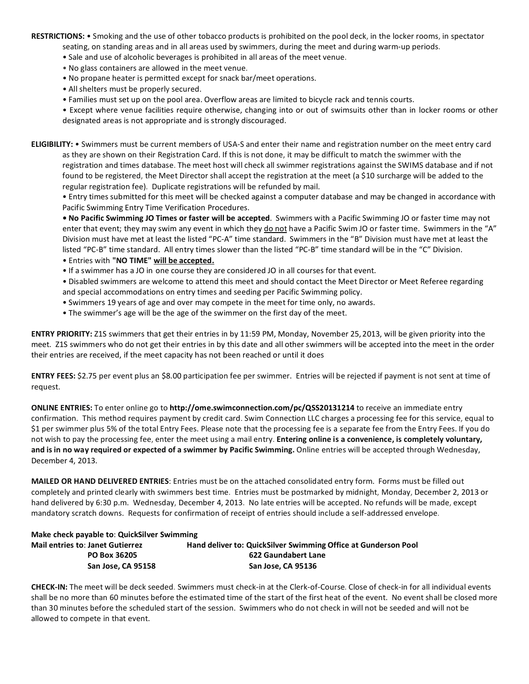**RESTRICTIONS:** • Smoking and the use of other tobacco products is prohibited on the pool deck, in the locker rooms, in spectator seating, on standing areas and in all areas used by swimmers, during the meet and during warm-up periods.

- Sale and use of alcoholic beverages is prohibited in all areas of the meet venue.
- No glass containers are allowed in the meet venue.
- No propane heater is permitted except for snack bar/meet operations.
- All shelters must be properly secured.
- Families must set up on the pool area. Overflow areas are limited to bicycle rack and tennis courts.

• Except where venue facilities require otherwise, changing into or out of swimsuits other than in locker rooms or other designated areas is not appropriate and is strongly discouraged.

**ELIGIBILITY:** • Swimmers must be current members of USA-S and enter their name and registration number on the meet entry card as they are shown on their Registration Card. If this is not done, it may be difficult to match the swimmer with the registration and times database. The meet host will check all swimmer registrations against the SWIMS database and if not found to be registered, the Meet Director shall accept the registration at the meet (a \$10 surcharge will be added to the regular registration fee). Duplicate registrations will be refunded by mail.

• Entry times submitted for this meet will be checked against a computer database and may be changed in accordance with Pacific Swimming Entry Time Verification Procedures.

**• No Pacific Swimming JO Times or faster will be accepted**. Swimmers with a Pacific Swimming JO or faster time may not enter that event; they may swim any event in which they do not have a Pacific Swim JO or faster time. Swimmers in the "A" Division must have met at least the listed "PC-A" time standard. Swimmers in the "B" Division must have met at least the listed "PC-B" time standard. All entry times slower than the listed "PC-B" time standard will be in the "C" Division.

- Entries with **"NO TIME" will be accepted.**
- If a swimmer has a JO in one course they are considered JO in all courses for that event.

• Disabled swimmers are welcome to attend this meet and should contact the Meet Director or Meet Referee regarding and special accommodations on entry times and seeding per Pacific Swimming policy.

- Swimmers 19 years of age and over may compete in the meet for time only, no awards.
- The swimmer's age will be the age of the swimmer on the first day of the meet.

**ENTRY PRIORITY:** Z1S swimmers that get their entries in by 11:59 PM, Monday, November 25, 2013, will be given priority into the meet. Z1S swimmers who do not get their entries in by this date and all other swimmers will be accepted into the meet in the order their entries are received, if the meet capacity has not been reached or until it does

**ENTRY FEES:** \$2.75 per event plus an \$8.00 participation fee per swimmer. Entries will be rejected if payment is not sent at time of request.

**ONLINE ENTRIES:** To enter online go to **http://ome.swimconnection.com/pc/QSS20131214** to receive an immediate entry confirmation. This method requires payment by credit card. Swim Connection LLC charges a processing fee for this service, equal to \$1 per swimmer plus 5% of the total Entry Fees. Please note that the processing fee is a separate fee from the Entry Fees. If you do not wish to pay the processing fee, enter the meet using a mail entry. **Entering online is a convenience, is completely voluntary, and is in no way required or expected of a swimmer by Pacific Swimming.** Online entries will be accepted through Wednesday, December 4, 2013.

**MAILED OR HAND DELIVERED ENTRIES**: Entries must be on the attached consolidated entry form. Forms must be filled out completely and printed clearly with swimmers best time. Entries must be postmarked by midnight, Monday, December 2, 2013 or hand delivered by 6:30 p.m. Wednesday, December 4, 2013. No late entries will be accepted. No refunds will be made, except mandatory scratch downs. Requests for confirmation of receipt of entries should include a self-addressed envelope.

## **Make check payable to**: **QuickSilver Swimming**

| <b>Mail entries to: Janet Gutierrez</b> | Hand deliver to: QuickSilver Swimming Office at Gunderson Pool |
|-----------------------------------------|----------------------------------------------------------------|
| PO Box 36205                            | 622 Gaundabert Lane                                            |
| San Jose, CA 95158                      | San Jose. CA 95136                                             |

**CHECK-IN:** The meet will be deck seeded. Swimmers must check-in at the Clerk-of-Course. Close of check-in for all individual events shall be no more than 60 minutes before the estimated time of the start of the first heat of the event. No event shall be closed more than 30 minutes before the scheduled start of the session. Swimmers who do not check in will not be seeded and will not be allowed to compete in that event.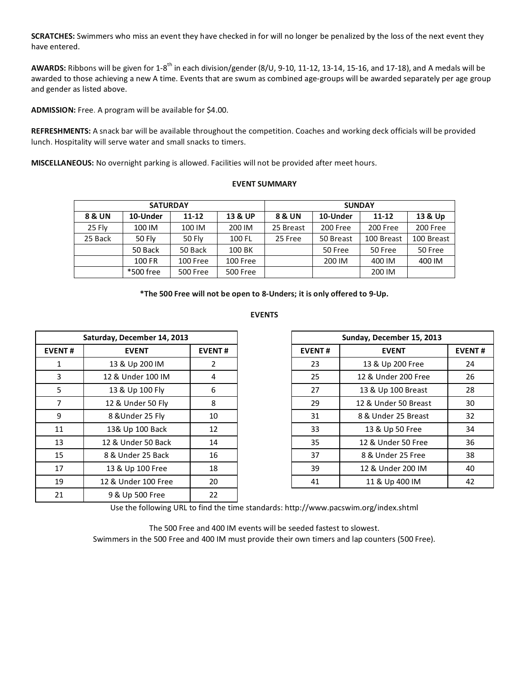**SCRATCHES:** Swimmers who miss an event they have checked in for will no longer be penalized by the loss of the next event they have entered.

**AWARDS:** Ribbons will be given for 1-8th in each division/gender (8/U, 9-10, 11-12, 13-14, 15-16, and 17-18), and A medals will be awarded to those achieving a new A time. Events that are swum as combined age-groups will be awarded separately per age group and gender as listed above.

**ADMISSION:** Free. A program will be available for \$4.00.

**REFRESHMENTS:** A snack bar will be available throughout the competition. Coaches and working deck officials will be provided lunch. Hospitality will serve water and small snacks to timers.

**MISCELLANEOUS:** No overnight parking is allowed. Facilities will not be provided after meet hours.

## **EVENT SUMMARY**

|         | <b>SATURDAY</b> |           |          | <b>SUNDAY</b> |           |            |            |  |  |
|---------|-----------------|-----------|----------|---------------|-----------|------------|------------|--|--|
| 8 & UN  | 10-Under        | $11 - 12$ |          | 8 & UN        | 10-Under  | $11 - 12$  | 13 & Up    |  |  |
| 25 Flv  | 100 IM          | 100 IM    | 200 IM   | 25 Breast     | 200 Free  | 200 Free   | 200 Free   |  |  |
| 25 Back | 50 Flv          | 50 Fly    | 100 FL   | 25 Free       | 50 Breast | 100 Breast | 100 Breast |  |  |
|         | 50 Back         | 50 Back   | 100 BK   |               | 50 Free   | 50 Free    | 50 Free    |  |  |
|         | 100 FR          | 100 Free  | 100 Free |               | 200 IM    | 400 IM     | 400 IM     |  |  |
|         | *500 free       | 500 Free  | 500 Free |               |           | 200 IM     |            |  |  |

**\*The 500 Free will not be open to 8-Unders; it is only offered to 9-Up.**

## **EVENTS**

|                               | Saturday, December 14, 2013 |               |               | Sunday, December 15, 2013 |             |
|-------------------------------|-----------------------------|---------------|---------------|---------------------------|-------------|
| <b>EVENT#</b><br><b>EVENT</b> |                             | <b>EVENT#</b> | <b>EVENT#</b> | <b>EVENT</b>              | <b>EVEN</b> |
| 1                             | 13 & Up 200 IM              | 2             | 23            | 13 & Up 200 Free          | 24          |
| 3                             | 12 & Under 100 IM           | 4             | 25            | 12 & Under 200 Free       | 26          |
| 5                             | 13 & Up 100 Fly             | 6             | 27            | 13 & Up 100 Breast        | 28          |
| 7                             | 12 & Under 50 Fly           | 8             | 29            | 12 & Under 50 Breast      | 30          |
| 9                             | 8 & Under 25 Fly            | 10            | 31            | 8 & Under 25 Breast       | 32          |
| 11                            | 13& Up 100 Back             | 12            | 33            | 13 & Up 50 Free           | 34          |
| 13                            | 12 & Under 50 Back          | 14            | 35            | 12 & Under 50 Free        | 36          |
| 15                            | 8 & Under 25 Back           | 16            | 37            | 8 & Under 25 Free         | 38          |
| 17                            | 13 & Up 100 Free            | 18            | 39            | 12 & Under 200 IM         | 40          |
| 19                            | 12 & Under 100 Free         | 20            | 41            | 11 & Up 400 IM            | 42          |
| 21                            | 9 & Up 500 Free             | 22            |               |                           |             |

| Saturday, December 14, 2013 |                     |               |
|-----------------------------|---------------------|---------------|
| <b>EVENT#</b>               | <b>EVENT</b>        | <b>EVENT#</b> |
| 1                           | 13 & Up 200 IM      | 2             |
| 3                           | 12 & Under 100 IM   | 4             |
| 5                           | 13 & Up 100 Fly     | 6             |
| 7                           | 12 & Under 50 Fly   | 8             |
| 9                           | 8 & Under 25 Fly    | 10            |
| 11                          | 13& Up 100 Back     | 12            |
| 13                          | 12 & Under 50 Back  | 14            |
| 15                          | 8 & Under 25 Back   | 16            |
| 17                          | 13 & Up 100 Free    | 18            |
| 19                          | 12 & Under 100 Free | 20            |

Use the following URL to find the time standards: http://www.pacswim.org/index.shtml

The 500 Free and 400 IM events will be seeded fastest to slowest. Swimmers in the 500 Free and 400 IM must provide their own timers and lap counters (500 Free).